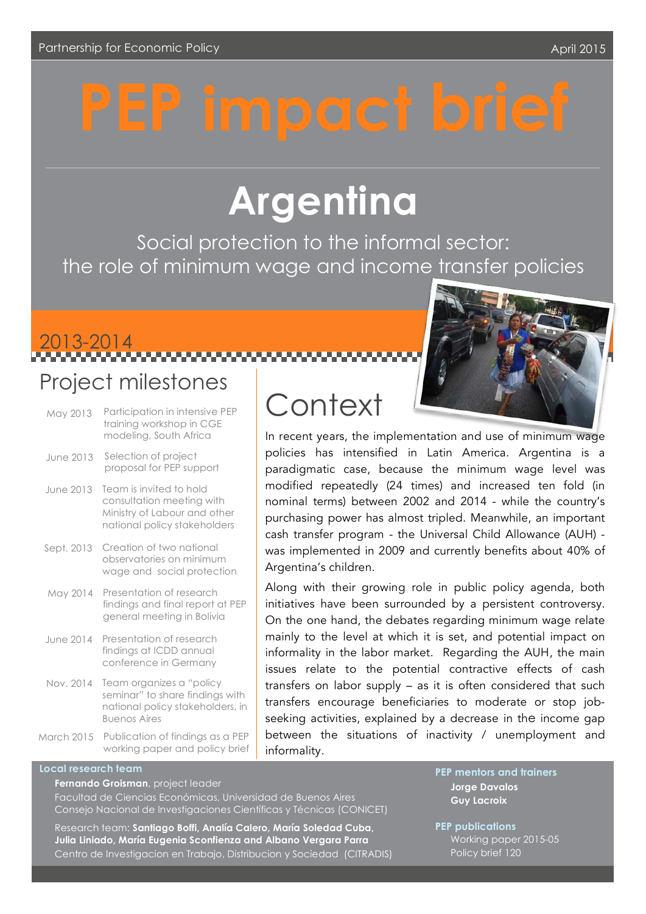# **Argentina**

Social protection to the informal sector: the role of minimum wage and income transfer policies

2013-2014

### Project milestones

- May 2013 Participation in intensive PEP training workshop in CGE modeling, South Africa June 2013 Selection of project proposal for PEP support June 2013 Team is invited to hold
- consultation meeting with Ministry of Labour and other national policy stakeholders
- Sept. 2013 Creation of two national observatories on minimum wage and social protection
- May 2014 Presentation of research findings and final report at PEP general meeting in Bolivia
- June 2014 Presentation of research findings at ICDD annual conference in Germany
- Nov. 2014 Team organizes a "policy seminar" to share findings with national policy stakeholders, in Buenos Aires
- March 2015 Publication of findings as a PEP working paper and policy brief

# **Context**

In recent years, the implementation and use of minimum wage policies has intensified in Latin America. Argentina is a paradigmatic case, because the minimum wage level was modified repeatedly (24 times) and increased ten fold (in nominal terms) between 2002 and 2014 - while the country's purchasing power has almost tripled. Meanwhile, an important cash transfer program - the Universal Child Allowance (AUH) was implemented in 2009 and currently benefits about 40% of Argentina's children.

Along with their growing role in public policy agenda, both initiatives have been surrounded by a persistent controversy. On the one hand, the debates regarding minimum wage relate mainly to the level at which it is set, and potential impact on informality in the labor market. Regarding the AUH, the main issues relate to the potential contractive effects of cash transfers on labor supply – as it is often considered that such transfers encourage beneficiaries to moderate or stop jobseeking activities, explained by a decrease in the income gap between the situations of inactivity / unemployment and informality.

#### **Local research team**

**Fernando Groisman**, project leader

Facultad de Ciencias Económicas, Universidad de Buenos Aires Consejo Nacional de Investigaciones Científicas y Técnicas (CONICET)

Research team: **Santiago Boffi, Analía Calero, María Soledad Cuba, Julia Liniado, María Eugenia Sconfienza and Albano Vergara Parra** Centro de Investigacion en Trabajo, Distribucion y Sociedad (CITRADIS) **PEP mentors and trainers Jorge Davalos Guy Lacroix**

**PEP publications** Working paper 2015-05 Policy brief 120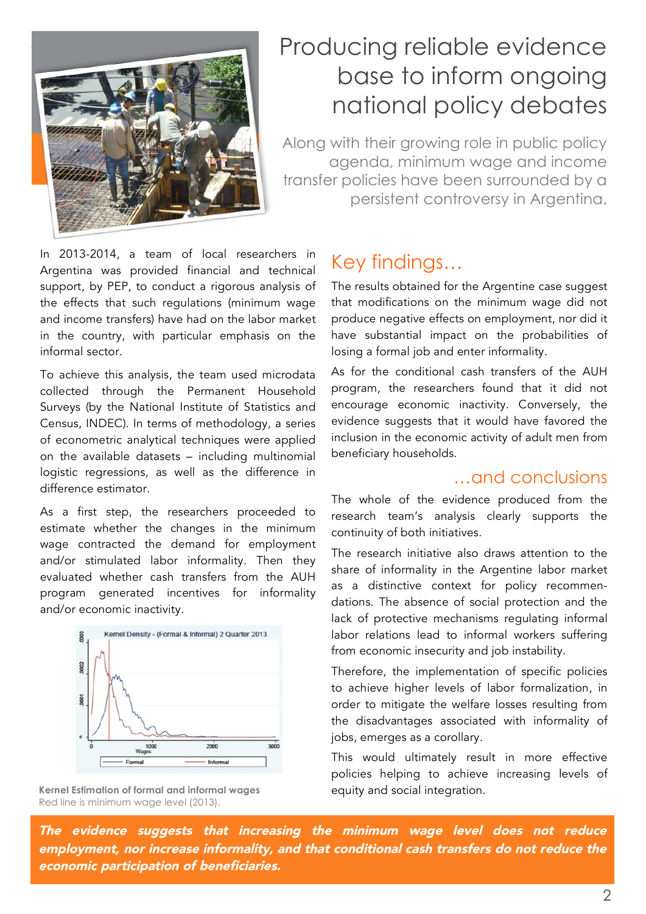

## lorem insurance producing reliable evidence base to inform ongoing national policy debates

Along with their growing role in public policy agenda, minimum wage and income transfer policies have been surrounded by a persistent controversy in Argentina.

In 2013-2014, a team of local researchers in Argentina was provided financial and technical support, by PEP, to conduct a rigorous analysis of the effects that such regulations (minimum wage and income transfers) have had on the labor market in the country, with particular emphasis on the informal sector.

To achieve this analysis, the team used microdata collected through the Permanent Household Surveys (by the National Institute of Statistics and Census, INDEC). In terms of methodology, a series of econometric analytical techniques were applied on the available datasets – including multinomial logistic regressions, as well as the difference in difference estimator.

As a first step, the researchers proceeded to estimate whether the changes in the minimum wage contracted the demand for employment and/or stimulated labor informality. Then they evaluated whether cash transfers from the AUH program generated incentives for informality and/or economic inactivity.



Kernel Estimation of formal and informal wages equity and social integration. Red line is minimum wage level (2013).

### Key findings…

The results obtained for the Argentine case suggest that modifications on the minimum wage did not produce negative effects on employment, nor did it have substantial impact on the probabilities of losing a formal job and enter informality.

As for the conditional cash transfers of the AUH program, the researchers found that it did not encourage economic inactivity. Conversely, the evidence suggests that it would have favored the inclusion in the economic activity of adult men from beneficiary households.

#### …and conclusions

The whole of the evidence produced from the research team's analysis clearly supports the continuity of both initiatives.

The research initiative also draws attention to the share of informality in the Argentine labor market as a distinctive context for policy recommendations. The absence of social protection and the lack of protective mechanisms regulating informal labor relations lead to informal workers suffering from economic insecurity and job instability.

Therefore, the implementation of specific policies to achieve higher levels of labor formalization, in order to mitigate the welfare losses resulting from the disadvantages associated with informality of jobs, emerges as a corollary.

This would ultimately result in more effective policies helping to achieve increasing levels of

The evidence suggests that increasing the minimum wage level does not reduce employment, nor increase informality, and that conditional cash transfers do not reduce the economic participation of beneficiaries.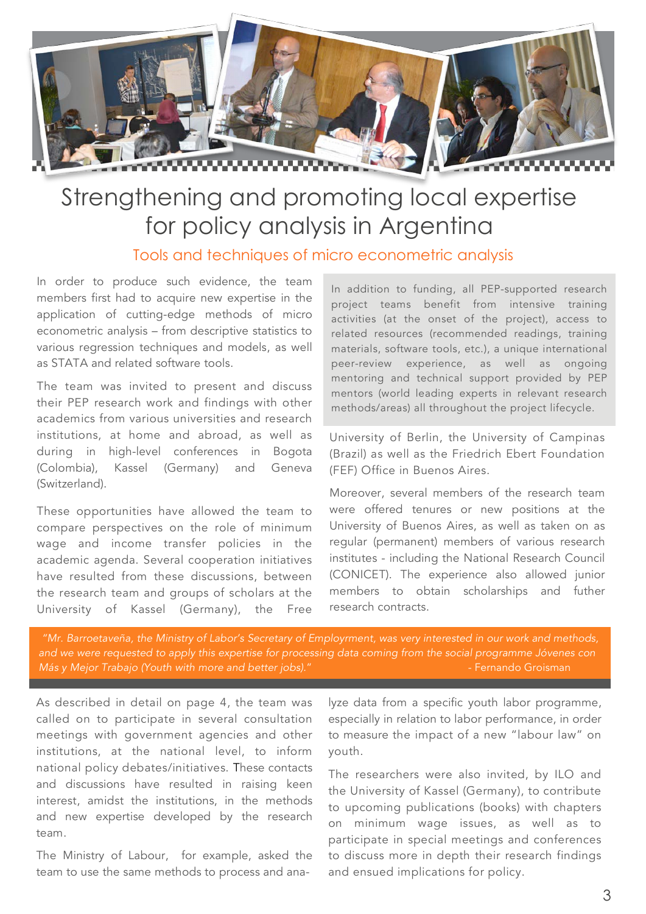

# Strengthening and promoting local expertise for policy analysis in Argentina

Tools and techniques of micro econometric analysis

In order to produce such evidence, the team members first had to acquire new expertise in the application of cutting-edge methods of micro econometric analysis – from descriptive statistics to various regression techniques and models, as well as STATA and related software tools.

The team was invited to present and discuss their PEP research work and findings with other academics from various universities and research institutions, at home and abroad, as well as during in high-level conferences in Bogota (Colombia), Kassel (Germany) and Geneva (Switzerland).

These opportunities have allowed the team to compare perspectives on the role of minimum wage and income transfer policies in the academic agenda. Several cooperation initiatives have resulted from these discussions, between the research team and groups of scholars at the University of Kassel (Germany), the Free

In addition to funding, all PEP-supported research project teams benefit from intensive training activities (at the onset of the project), access to related resources (recommended readings, training materials, software tools, etc.), a unique international peer-review experience, as well as ongoing mentoring and technical support provided by PEP mentors (world leading experts in relevant research methods/areas) all throughout the project lifecycle.

University of Berlin, the University of Campinas (Brazil) as well as the Friedrich Ebert Foundation (FEF) Office in Buenos Aires.

Moreover, several members of the research team were offered tenures or new positions at the University of Buenos Aires, as well as taken on as regular (permanent) members of various research institutes - including the National Research Council (CONICET). The experience also allowed junior members to obtain scholarships and futher research contracts.

*"Mr. Barroetaveña, the Ministry of Labor's Secretary of Employrment, was very interested in our work and methods, and we were requested to apply this expertise for processing data coming from the social programme Jóvenes con Más y Mejor Trabajo (Youth with more and better jobs)."* **1999** - Fernando Groisman - Fernando Groisman

As described in detail on page 4, the team was called on to participate in several consultation meetings with government agencies and other institutions, at the national level, to inform national policy debates/initiatives. These contacts and discussions have resulted in raising keen interest, amidst the institutions, in the methods and new expertise developed by the research team.

The Ministry of Labour, for example, asked the team to use the same methods to process and analyze data from a specific youth labor programme, especially in relation to labor performance, in order to measure the impact of a new "labour law" on youth.

The researchers were also invited, by ILO and the University of Kassel (Germany), to contribute to upcoming publications (books) with chapters on minimum wage issues, as well as to participate in special meetings and conferences to discuss more in depth their research findings and ensued implications for policy.